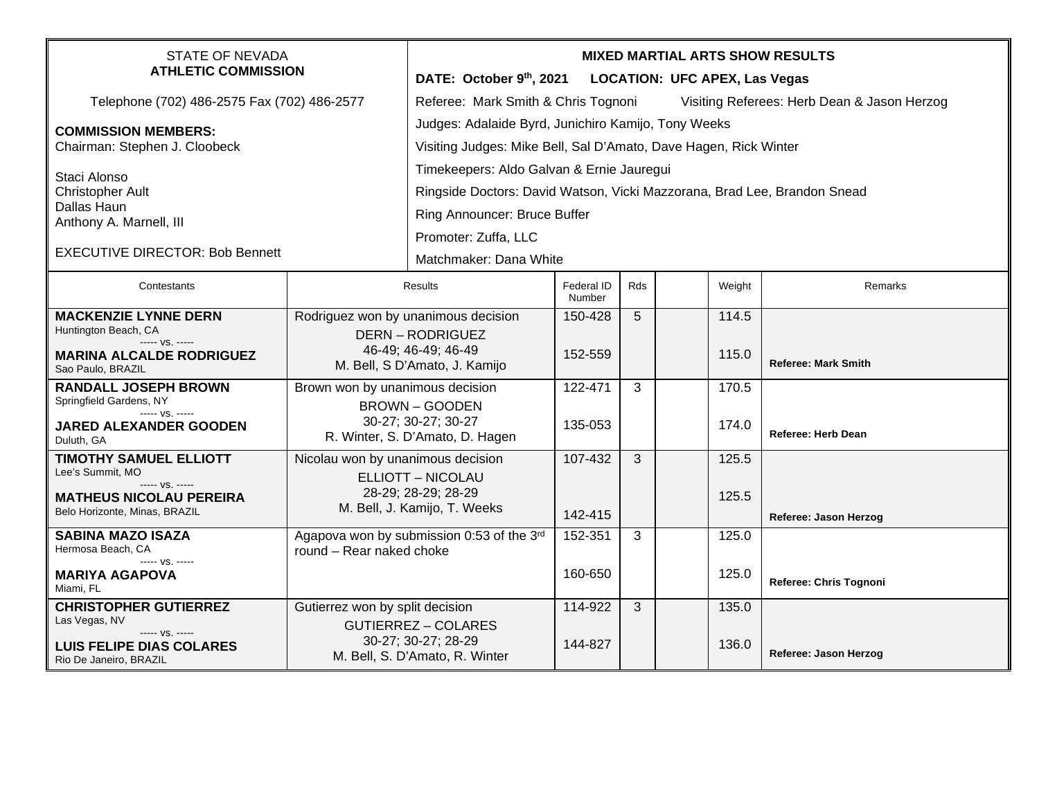| <b>STATE OF NEVADA</b><br><b>ATHLETIC COMMISSION</b>        |                                                                                                                    | <b>MIXED MARTIAL ARTS SHOW RESULTS</b>                                             |                      |     |  |        |                            |  |  |
|-------------------------------------------------------------|--------------------------------------------------------------------------------------------------------------------|------------------------------------------------------------------------------------|----------------------|-----|--|--------|----------------------------|--|--|
|                                                             |                                                                                                                    | DATE: October 9th, 2021<br><b>LOCATION: UFC APEX, Las Vegas</b>                    |                      |     |  |        |                            |  |  |
| Telephone (702) 486-2575 Fax (702) 486-2577                 |                                                                                                                    | Referee: Mark Smith & Chris Tognoni<br>Visiting Referees: Herb Dean & Jason Herzog |                      |     |  |        |                            |  |  |
| <b>COMMISSION MEMBERS:</b><br>Chairman: Stephen J. Cloobeck |                                                                                                                    | Judges: Adalaide Byrd, Junichiro Kamijo, Tony Weeks                                |                      |     |  |        |                            |  |  |
|                                                             |                                                                                                                    | Visiting Judges: Mike Bell, Sal D'Amato, Dave Hagen, Rick Winter                   |                      |     |  |        |                            |  |  |
|                                                             |                                                                                                                    | Timekeepers: Aldo Galvan & Ernie Jauregui                                          |                      |     |  |        |                            |  |  |
| Staci Alonso<br><b>Christopher Ault</b>                     |                                                                                                                    | Ringside Doctors: David Watson, Vicki Mazzorana, Brad Lee, Brandon Snead           |                      |     |  |        |                            |  |  |
| Dallas Haun<br>Anthony A. Marnell, III                      |                                                                                                                    | Ring Announcer: Bruce Buffer                                                       |                      |     |  |        |                            |  |  |
|                                                             |                                                                                                                    | Promoter: Zuffa, LLC                                                               |                      |     |  |        |                            |  |  |
| <b>EXECUTIVE DIRECTOR: Bob Bennett</b>                      |                                                                                                                    |                                                                                    |                      |     |  |        |                            |  |  |
|                                                             |                                                                                                                    | Matchmaker: Dana White                                                             |                      |     |  |        |                            |  |  |
| Contestants                                                 | <b>Results</b>                                                                                                     |                                                                                    | Federal ID<br>Number | Rds |  | Weight | Remarks                    |  |  |
| <b>MACKENZIE LYNNE DERN</b>                                 |                                                                                                                    | Rodriguez won by unanimous decision                                                | 150-428              | 5   |  | 114.5  |                            |  |  |
| Huntington Beach, CA<br>----- VS. -----                     |                                                                                                                    | <b>DERN-RODRIGUEZ</b>                                                              |                      |     |  |        |                            |  |  |
| <b>MARINA ALCALDE RODRIGUEZ</b><br>Sao Paulo, BRAZIL        | 46-49; 46-49; 46-49<br>M. Bell, S D'Amato, J. Kamijo                                                               |                                                                                    | 152-559              |     |  | 115.0  | <b>Referee: Mark Smith</b> |  |  |
| <b>RANDALL JOSEPH BROWN</b>                                 | Brown won by unanimous decision<br><b>BROWN - GOODEN</b><br>30-27; 30-27; 30-27<br>R. Winter, S. D'Amato, D. Hagen |                                                                                    | 122-471              | 3   |  | 170.5  |                            |  |  |
| Springfield Gardens, NY<br>$--- VS. ---$                    |                                                                                                                    |                                                                                    |                      |     |  |        |                            |  |  |
| <b>JARED ALEXANDER GOODEN</b><br>Duluth, GA                 |                                                                                                                    |                                                                                    | 135-053              |     |  | 174.0  | <b>Referee: Herb Dean</b>  |  |  |
| <b>TIMOTHY SAMUEL ELLIOTT</b>                               | Nicolau won by unanimous decision                                                                                  |                                                                                    | 107-432              | 3   |  | 125.5  |                            |  |  |
| Lee's Summit, MO<br>----- VS. -----                         | ELLIOTT - NICOLAU                                                                                                  |                                                                                    |                      |     |  |        |                            |  |  |
| <b>MATHEUS NICOLAU PEREIRA</b>                              | 28-29; 28-29; 28-29<br>M. Bell, J. Kamijo, T. Weeks                                                                |                                                                                    |                      |     |  | 125.5  |                            |  |  |
| Belo Horizonte, Minas, BRAZIL                               |                                                                                                                    |                                                                                    | 142-415              |     |  |        | Referee: Jason Herzog      |  |  |
| <b>SABINA MAZO ISAZA</b><br>Hermosa Beach, CA               | Agapova won by submission 0:53 of the 3rd<br>round - Rear naked choke                                              |                                                                                    | 152-351              | 3   |  | 125.0  |                            |  |  |
| ----- VS. -----                                             |                                                                                                                    |                                                                                    |                      |     |  |        |                            |  |  |
| <b>MARIYA AGAPOVA</b><br>Miami, FL                          |                                                                                                                    |                                                                                    | 160-650              |     |  | 125.0  | Referee: Chris Tognoni     |  |  |
| <b>CHRISTOPHER GUTIERREZ</b>                                | Gutierrez won by split decision                                                                                    |                                                                                    | 114-922              | 3   |  | 135.0  |                            |  |  |
| Las Vegas, NV<br>----- VS. -----                            |                                                                                                                    | <b>GUTIERREZ - COLARES</b><br>30-27; 30-27; 28-29                                  |                      |     |  |        |                            |  |  |
| <b>LUIS FELIPE DIAS COLARES</b><br>Rio De Janeiro, BRAZIL   |                                                                                                                    | M. Bell, S. D'Amato, R. Winter                                                     | 144-827              |     |  | 136.0  | Referee: Jason Herzog      |  |  |